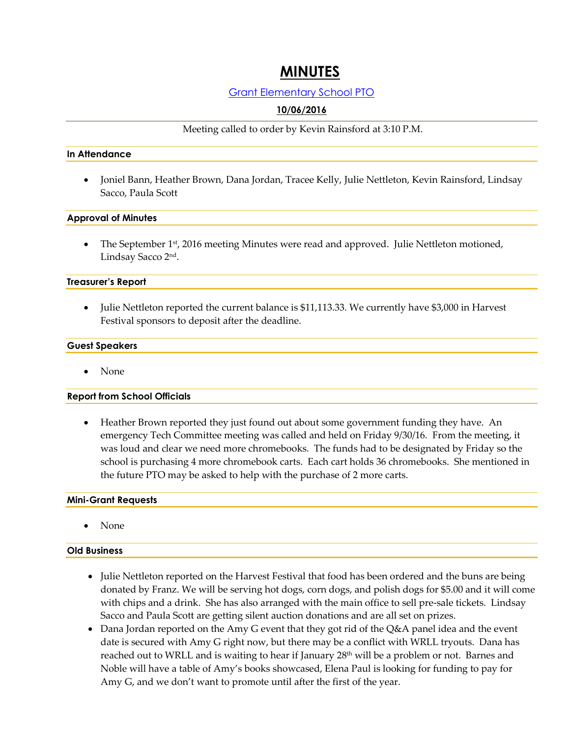# **MINUTES**

## Grant Elementary School PTO

## **10/06/2016**

Meeting called to order by Kevin Rainsford at 3:10 P.M.

#### **In Attendance**

 Joniel Bann, Heather Brown, Dana Jordan, Tracee Kelly, Julie Nettleton, Kevin Rainsford, Lindsay Sacco, Paula Scott

#### **Approval of Minutes**

The September 1<sup>st</sup>, 2016 meeting Minutes were read and approved. Julie Nettleton motioned, Lindsay Sacco 2nd .

#### **Treasurer's Report**

 Julie Nettleton reported the current balance is \$11,113.33. We currently have \$3,000 in Harvest Festival sponsors to deposit after the deadline.

#### **Guest Speakers**

None

#### **Report from School Officials**

 Heather Brown reported they just found out about some government funding they have. An emergency Tech Committee meeting was called and held on Friday 9/30/16. From the meeting, it was loud and clear we need more chromebooks. The funds had to be designated by Friday so the school is purchasing 4 more chromebook carts. Each cart holds 36 chromebooks. She mentioned in the future PTO may be asked to help with the purchase of 2 more carts.

#### **Mini-Grant Requests**

None

#### **Old Business**

- Julie Nettleton reported on the Harvest Festival that food has been ordered and the buns are being donated by Franz. We will be serving hot dogs, corn dogs, and polish dogs for \$5.00 and it will come with chips and a drink. She has also arranged with the main office to sell pre-sale tickets. Lindsay Sacco and Paula Scott are getting silent auction donations and are all set on prizes.
- Dana Jordan reported on the Amy G event that they got rid of the Q&A panel idea and the event date is secured with Amy G right now, but there may be a conflict with WRLL tryouts. Dana has reached out to WRLL and is waiting to hear if January 28<sup>th</sup> will be a problem or not. Barnes and Noble will have a table of Amy's books showcased, Elena Paul is looking for funding to pay for Amy G, and we don't want to promote until after the first of the year.